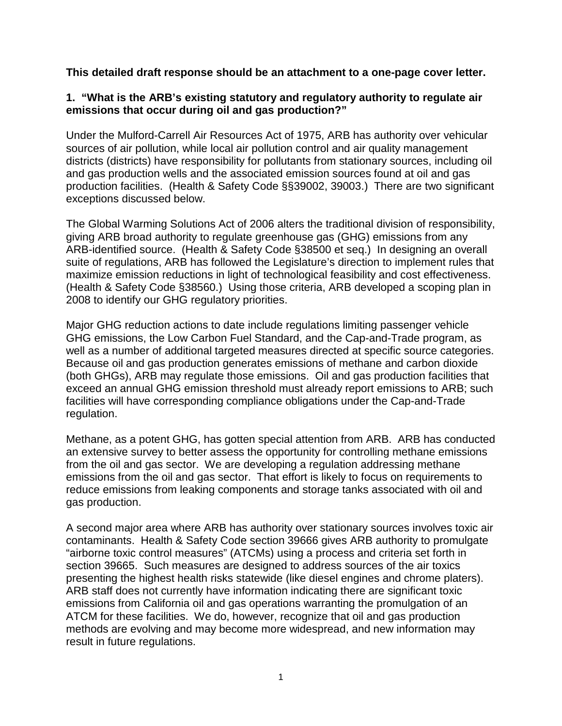**This detailed draft response should be an attachment to a one-page cover letter.**

# **1. "What is the ARB's existing statutory and regulatory authority to regulate air emissions that occur during oil and gas production?"**

Under the Mulford-Carrell Air Resources Act of 1975, ARB has authority over vehicular sources of air pollution, while local air pollution control and air quality management districts (districts) have responsibility for pollutants from stationary sources, including oil and gas production wells and the associated emission sources found at oil and gas production facilities. (Health & Safety Code §§39002, 39003.) There are two significant exceptions discussed below.

The Global Warming Solutions Act of 2006 alters the traditional division of responsibility, giving ARB broad authority to regulate greenhouse gas (GHG) emissions from any ARB-identified source. (Health & Safety Code §38500 et seq.) In designing an overall suite of regulations, ARB has followed the Legislature's direction to implement rules that maximize emission reductions in light of technological feasibility and cost effectiveness. (Health & Safety Code §38560.) Using those criteria, ARB developed a scoping plan in 2008 to identify our GHG regulatory priorities.

Major GHG reduction actions to date include regulations limiting passenger vehicle GHG emissions, the Low Carbon Fuel Standard, and the Cap-and-Trade program, as well as a number of additional targeted measures directed at specific source categories. Because oil and gas production generates emissions of methane and carbon dioxide (both GHGs), ARB may regulate those emissions. Oil and gas production facilities that exceed an annual GHG emission threshold must already report emissions to ARB; such facilities will have corresponding compliance obligations under the Cap-and-Trade regulation.

Methane, as a potent GHG, has gotten special attention from ARB. ARB has conducted an extensive survey to better assess the opportunity for controlling methane emissions from the oil and gas sector. We are developing a regulation addressing methane emissions from the oil and gas sector. That effort is likely to focus on requirements to reduce emissions from leaking components and storage tanks associated with oil and gas production.

A second major area where ARB has authority over stationary sources involves toxic air contaminants. Health & Safety Code section 39666 gives ARB authority to promulgate "airborne toxic control measures" (ATCMs) using a process and criteria set forth in section 39665. Such measures are designed to address sources of the air toxics presenting the highest health risks statewide (like diesel engines and chrome platers). ARB staff does not currently have information indicating there are significant toxic emissions from California oil and gas operations warranting the promulgation of an ATCM for these facilities. We do, however, recognize that oil and gas production methods are evolving and may become more widespread, and new information may result in future regulations.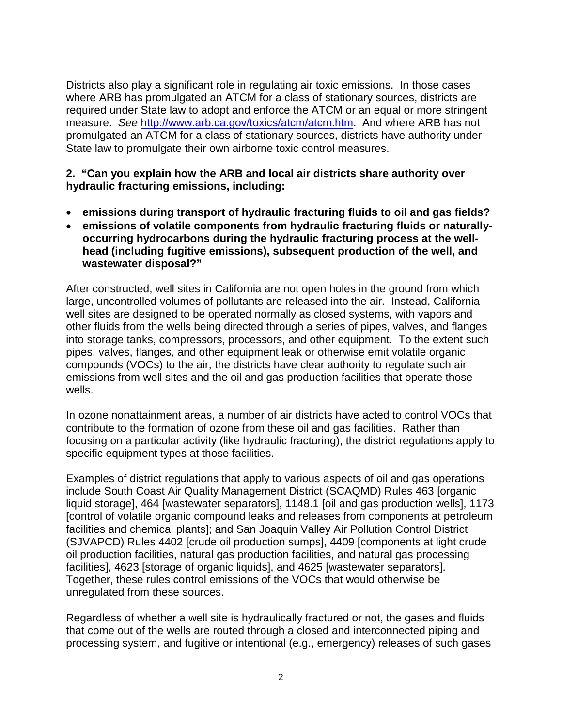Districts also play a significant role in regulating air toxic emissions. In those cases where ARB has promulgated an ATCM for a class of stationary sources, districts are required under State law to adopt and enforce the ATCM or an equal or more stringent measure. *See* [http://www.arb.ca.gov/toxics/atcm/atcm.htm.](http://www.arb.ca.gov/toxics/atcm/atcm.htm) And where ARB has not promulgated an ATCM for a class of stationary sources, districts have authority under State law to promulgate their own airborne toxic control measures.

#### **2. "Can you explain how the ARB and local air districts share authority over hydraulic fracturing emissions, including:**

- **emissions during transport of hydraulic fracturing fluids to oil and gas fields?**
- **emissions of volatile components from hydraulic fracturing fluids or naturallyoccurring hydrocarbons during the hydraulic fracturing process at the wellhead (including fugitive emissions), subsequent production of the well, and wastewater disposal?"**

After constructed, well sites in California are not open holes in the ground from which large, uncontrolled volumes of pollutants are released into the air. Instead, California well sites are designed to be operated normally as closed systems, with vapors and other fluids from the wells being directed through a series of pipes, valves, and flanges into storage tanks, compressors, processors, and other equipment. To the extent such pipes, valves, flanges, and other equipment leak or otherwise emit volatile organic compounds (VOCs) to the air, the districts have clear authority to regulate such air emissions from well sites and the oil and gas production facilities that operate those wells.

In ozone nonattainment areas, a number of air districts have acted to control VOCs that contribute to the formation of ozone from these oil and gas facilities. Rather than focusing on a particular activity (like hydraulic fracturing), the district regulations apply to specific equipment types at those facilities.

Examples of district regulations that apply to various aspects of oil and gas operations include South Coast Air Quality Management District (SCAQMD) Rules 463 [organic liquid storage], 464 [wastewater separators], 1148.1 [oil and gas production wells], 1173 [control of volatile organic compound leaks and releases from components at petroleum facilities and chemical plants]; and San Joaquin Valley Air Pollution Control District (SJVAPCD) Rules 4402 [crude oil production sumps], 4409 [components at light crude oil production facilities, natural gas production facilities, and natural gas processing facilities], 4623 [storage of organic liquids], and 4625 [wastewater separators]. Together, these rules control emissions of the VOCs that would otherwise be unregulated from these sources.

Regardless of whether a well site is hydraulically fractured or not, the gases and fluids that come out of the wells are routed through a closed and interconnected piping and processing system, and fugitive or intentional (e.g., emergency) releases of such gases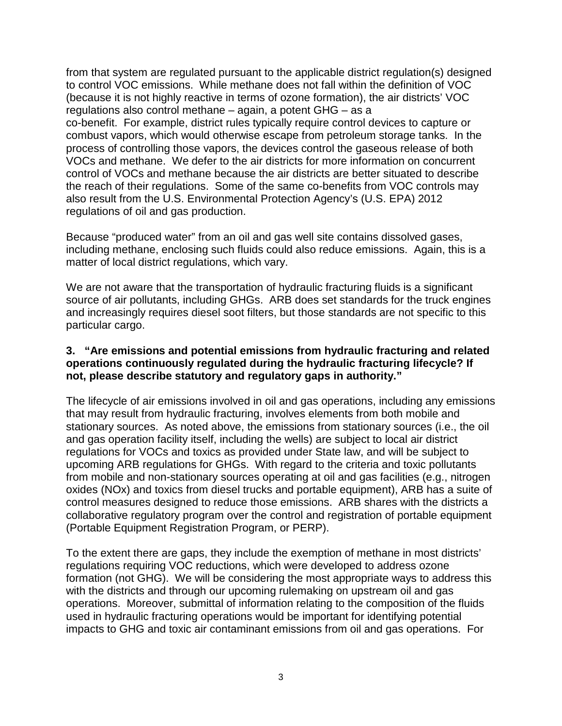from that system are regulated pursuant to the applicable district regulation(s) designed to control VOC emissions. While methane does not fall within the definition of VOC (because it is not highly reactive in terms of ozone formation), the air districts' VOC regulations also control methane – again, a potent GHG – as a co-benefit. For example, district rules typically require control devices to capture or combust vapors, which would otherwise escape from petroleum storage tanks. In the process of controlling those vapors, the devices control the gaseous release of both VOCs and methane. We defer to the air districts for more information on concurrent control of VOCs and methane because the air districts are better situated to describe the reach of their regulations. Some of the same co-benefits from VOC controls may also result from the U.S. Environmental Protection Agency's (U.S. EPA) 2012 regulations of oil and gas production.

Because "produced water" from an oil and gas well site contains dissolved gases, including methane, enclosing such fluids could also reduce emissions. Again, this is a matter of local district regulations, which vary.

We are not aware that the transportation of hydraulic fracturing fluids is a significant source of air pollutants, including GHGs. ARB does set standards for the truck engines and increasingly requires diesel soot filters, but those standards are not specific to this particular cargo.

### **3. "Are emissions and potential emissions from hydraulic fracturing and related operations continuously regulated during the hydraulic fracturing lifecycle? If not, please describe statutory and regulatory gaps in authority."**

The lifecycle of air emissions involved in oil and gas operations, including any emissions that may result from hydraulic fracturing, involves elements from both mobile and stationary sources. As noted above, the emissions from stationary sources (i.e., the oil and gas operation facility itself, including the wells) are subject to local air district regulations for VOCs and toxics as provided under State law, and will be subject to upcoming ARB regulations for GHGs. With regard to the criteria and toxic pollutants from mobile and non-stationary sources operating at oil and gas facilities (e.g., nitrogen oxides (NOx) and toxics from diesel trucks and portable equipment), ARB has a suite of control measures designed to reduce those emissions. ARB shares with the districts a collaborative regulatory program over the control and registration of portable equipment (Portable Equipment Registration Program, or PERP).

To the extent there are gaps, they include the exemption of methane in most districts' regulations requiring VOC reductions, which were developed to address ozone formation (not GHG). We will be considering the most appropriate ways to address this with the districts and through our upcoming rulemaking on upstream oil and gas operations. Moreover, submittal of information relating to the composition of the fluids used in hydraulic fracturing operations would be important for identifying potential impacts to GHG and toxic air contaminant emissions from oil and gas operations. For